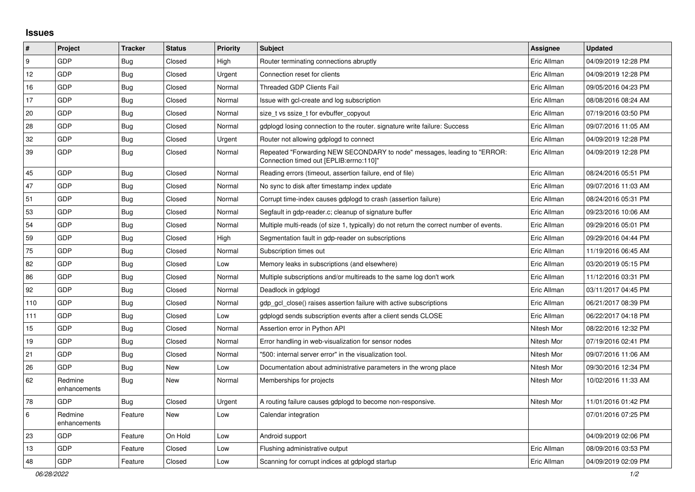## **Issues**

| $\vert$ # | Project                 | <b>Tracker</b> | <b>Status</b> | <b>Priority</b> | <b>Subject</b>                                                                                                      | Assignee    | <b>Updated</b>      |
|-----------|-------------------------|----------------|---------------|-----------------|---------------------------------------------------------------------------------------------------------------------|-------------|---------------------|
| 9         | <b>GDP</b>              | <b>Bug</b>     | Closed        | High            | Router terminating connections abruptly                                                                             | Eric Allman | 04/09/2019 12:28 PM |
| 12        | <b>GDP</b>              | <b>Bug</b>     | Closed        | Urgent          | Connection reset for clients                                                                                        | Eric Allman | 04/09/2019 12:28 PM |
| 16        | GDP                     | Bug            | Closed        | Normal          | <b>Threaded GDP Clients Fail</b>                                                                                    | Eric Allman | 09/05/2016 04:23 PM |
| 17        | GDP                     | Bug            | Closed        | Normal          | Issue with gcl-create and log subscription                                                                          | Eric Allman | 08/08/2016 08:24 AM |
| 20        | GDP                     | Bug            | Closed        | Normal          | size t vs ssize t for evbuffer copyout                                                                              | Eric Allman | 07/19/2016 03:50 PM |
| 28        | GDP                     | <b>Bug</b>     | Closed        | Normal          | gdplogd losing connection to the router, signature write failure: Success                                           | Eric Allman | 09/07/2016 11:05 AM |
| 32        | GDP                     | Bug            | Closed        | Urgent          | Router not allowing gdplogd to connect                                                                              | Eric Allman | 04/09/2019 12:28 PM |
| 39        | GDP                     | <b>Bug</b>     | Closed        | Normal          | Repeated "Forwarding NEW SECONDARY to node" messages, leading to "ERROR:<br>Connection timed out [EPLIB:errno:110]" | Eric Allman | 04/09/2019 12:28 PM |
| 45        | GDP                     | <b>Bug</b>     | Closed        | Normal          | Reading errors (timeout, assertion failure, end of file)                                                            | Eric Allman | 08/24/2016 05:51 PM |
| 47        | GDP                     | Bug            | Closed        | Normal          | No sync to disk after timestamp index update                                                                        | Eric Allman | 09/07/2016 11:03 AM |
| 51        | GDP                     | <b>Bug</b>     | Closed        | Normal          | Corrupt time-index causes gdplogd to crash (assertion failure)                                                      | Eric Allman | 08/24/2016 05:31 PM |
| 53        | GDP                     | Bug            | Closed        | Normal          | Segfault in gdp-reader.c; cleanup of signature buffer                                                               | Eric Allman | 09/23/2016 10:06 AM |
| 54        | GDP                     | <b>Bug</b>     | Closed        | Normal          | Multiple multi-reads (of size 1, typically) do not return the correct number of events.                             | Eric Allman | 09/29/2016 05:01 PM |
| 59        | GDP                     | Bug            | Closed        | High            | Segmentation fault in gdp-reader on subscriptions                                                                   | Eric Allman | 09/29/2016 04:44 PM |
| 75        | <b>GDP</b>              | Bug            | Closed        | Normal          | Subscription times out                                                                                              | Eric Allman | 11/19/2016 06:45 AM |
| 82        | GDP                     | <b>Bug</b>     | Closed        | Low             | Memory leaks in subscriptions (and elsewhere)                                                                       | Eric Allman | 03/20/2019 05:15 PM |
| 86        | <b>GDP</b>              | Bug            | Closed        | Normal          | Multiple subscriptions and/or multireads to the same log don't work                                                 | Eric Allman | 11/12/2016 03:31 PM |
| 92        | GDP                     | <b>Bug</b>     | Closed        | Normal          | Deadlock in gdplogd                                                                                                 | Eric Allman | 03/11/2017 04:45 PM |
| 110       | GDP                     | Bug            | Closed        | Normal          | gdp gcl close() raises assertion failure with active subscriptions                                                  | Eric Allman | 06/21/2017 08:39 PM |
| 111       | GDP                     | <b>Bug</b>     | Closed        | Low             | adplogd sends subscription events after a client sends CLOSE                                                        | Eric Allman | 06/22/2017 04:18 PM |
| 15        | <b>GDP</b>              | Bug            | Closed        | Normal          | Assertion error in Python API                                                                                       | Nitesh Mor  | 08/22/2016 12:32 PM |
| 19        | GDP                     | <b>Bug</b>     | Closed        | Normal          | Error handling in web-visualization for sensor nodes                                                                | Nitesh Mor  | 07/19/2016 02:41 PM |
| 21        | GDP                     | Bug            | Closed        | Normal          | '500: internal server error" in the visualization tool.                                                             | Nitesh Mor  | 09/07/2016 11:06 AM |
| 26        | <b>GDP</b>              | Bug            | New           | Low             | Documentation about administrative parameters in the wrong place                                                    | Nitesh Mor  | 09/30/2016 12:34 PM |
| 62        | Redmine<br>enhancements | Bug            | New           | Normal          | Memberships for projects                                                                                            | Nitesh Mor  | 10/02/2016 11:33 AM |
| 78        | GDP                     | Bug            | Closed        | Urgent          | A routing failure causes gdplogd to become non-responsive.                                                          | Nitesh Mor  | 11/01/2016 01:42 PM |
| 6         | Redmine<br>enhancements | Feature        | New           | Low             | Calendar integration                                                                                                |             | 07/01/2016 07:25 PM |
| 23        | <b>GDP</b>              | Feature        | On Hold       | Low             | Android support                                                                                                     |             | 04/09/2019 02:06 PM |
| 13        | GDP                     | Feature        | Closed        | Low             | Flushing administrative output                                                                                      | Eric Allman | 08/09/2016 03:53 PM |
| 48        | GDP                     | Feature        | Closed        | Low             | Scanning for corrupt indices at gdplogd startup                                                                     | Eric Allman | 04/09/2019 02:09 PM |